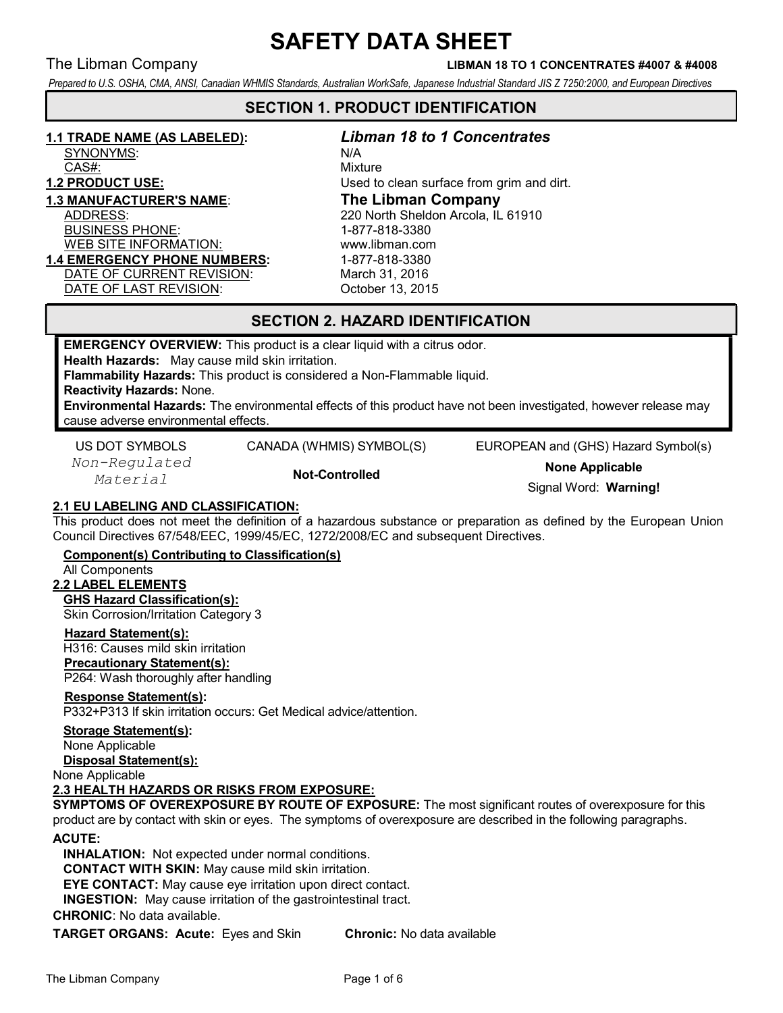### The Libman Company LIBMAN 18 TO 1 CONCENTRATES #4007 & #4008

Prepared to U.S. OSHA, CMA, ANSI, Canadian WHMIS Standards, Australian WorkSafe, Japanese Industrial Standard JIS Z 7250:2000, and European Directives

# SECTION 1. PRODUCT IDENTIFICATION

# 1.1 TRADE NAME (AS LABELED): Libman 18 to 1 Concentrates

SYNONYMS: N/A

CAS#: CASA CONSTRUCTION CASA:

BUSINESS PHONE: 1-877-818-3380 WEB SITE INFORMATION: www.libman.com 1.4 EMERGENCY PHONE NUMBERS: 1-877-818-3380 DATE OF CURRENT REVISION: March 31, 2016 DATE OF LAST REVISION: October 13, 2015

1.2 PRODUCT USE: **USE:** Used to clean surface from grim and dirt. 1.3 MANUFACTURER'S NAME: The Libman Company ADDRESS: 220 North Sheldon Arcola, IL 61910

# SECTION 2. HAZARD IDENTIFICATION

EMERGENCY OVERVIEW: This product is a clear liquid with a citrus odor.

Health Hazards: May cause mild skin irritation.

Flammability Hazards: This product is considered a Non-Flammable liquid.

Reactivity Hazards: None.

Environmental Hazards: The environmental effects of this product have not been investigated, however release may cause adverse environmental effects.

Non-Regulated

US DOT SYMBOLS CANADA (WHMIS) SYMBOL(S) EUROPEAN and (GHS) Hazard Symbol(s)

n-kegulated **Not-Controlled None Applicable**<br>Material **Not-Controlled None Applicable** Normin Signal Word: Warning!

## 2.1 EU LABELING AND CLASSIFICATION:

This product does not meet the definition of a hazardous substance or preparation as defined by the European Union Council Directives 67/548/EEC, 1999/45/EC, 1272/2008/EC and subsequent Directives.

Component(s) Contributing to Classification(s)

#### All Components

# 2.2 LABEL ELEMENTS

GHS Hazard Classification(s): Skin Corrosion/Irritation Category 3

### Hazard Statement(s):

H316: Causes mild skin irritation Precautionary Statement(s):

P264: Wash thoroughly after handling

### Response Statement(s):

P332+P313 If skin irritation occurs: Get Medical advice/attention.

#### Storage Statement(s):

None Applicable

Disposal Statement(s):

None Applicable

#### 2.3 HEALTH HAZARDS OR RISKS FROM EXPOSURE:

SYMPTOMS OF OVEREXPOSURE BY ROUTE OF EXPOSURE: The most significant routes of overexposure for this product are by contact with skin or eyes. The symptoms of overexposure are described in the following paragraphs.

#### ACUTE:

INHALATION: Not expected under normal conditions. CONTACT WITH SKIN: May cause mild skin irritation. EYE CONTACT: May cause eye irritation upon direct contact. INGESTION: May cause irritation of the gastrointestinal tract.

CHRONIC: No data available.

TARGET ORGANS: Acute: Eyes and Skin Chronic: No data available

The Libman Company **Page 1 of 6** and 1 of 6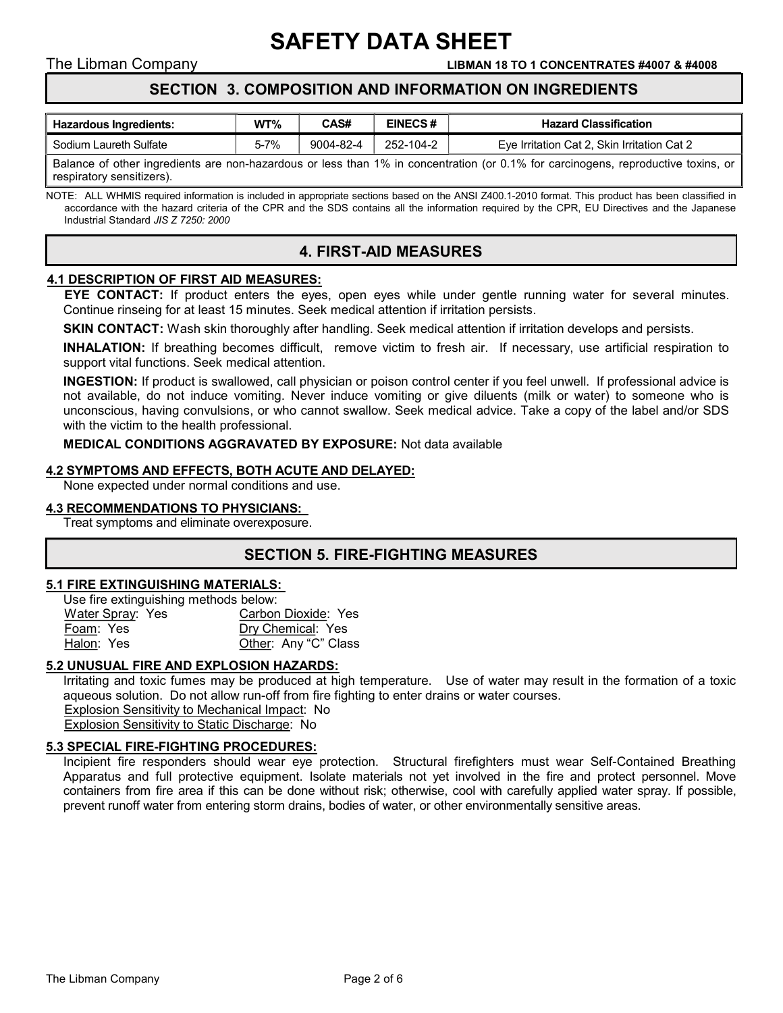The Libman Company LIBMAN 18 TO 1 CONCENTRATES #4007 & #4008

# SECTION 3. COMPOSITION AND INFORMATION ON INGREDIENTS

SAFETY DATA SHEET

| <b>Hazardous Ingredients:</b> | WT%      | CAS#      | <b>EINECS#</b> | <b>Hazard Classification</b>                |  |  |
|-------------------------------|----------|-----------|----------------|---------------------------------------------|--|--|
| Sodium Laureth Sulfate        | $5 - 7%$ | 9004-82-4 | 252-104-2      | Eve Irritation Cat 2, Skin Irritation Cat 2 |  |  |
|                               |          |           |                |                                             |  |  |

Balance of other ingredients are non-hazardous or less than 1% in concentration (or 0.1% for carcinogens, reproductive toxins, or respiratory sensitizers).

NOTE: ALL WHMIS required information is included in appropriate sections based on the ANSI Z400.1-2010 format. This product has been classified in accordance with the hazard criteria of the CPR and the SDS contains all the information required by the CPR, EU Directives and the Japanese Industrial Standard JIS Z 7250: 2000

# 4. FIRST-AID MEASURES

#### 4.1 DESCRIPTION OF FIRST AID MEASURES:

EYE CONTACT: If product enters the eyes, open eyes while under gentle running water for several minutes. Continue rinseing for at least 15 minutes. Seek medical attention if irritation persists.

**SKIN CONTACT:** Wash skin thoroughly after handling. Seek medical attention if irritation develops and persists.

INHALATION: If breathing becomes difficult, remove victim to fresh air. If necessary, use artificial respiration to support vital functions. Seek medical attention.

INGESTION: If product is swallowed, call physician or poison control center if you feel unwell. If professional advice is not available, do not induce vomiting. Never induce vomiting or give diluents (milk or water) to someone who is unconscious, having convulsions, or who cannot swallow. Seek medical advice. Take a copy of the label and/or SDS with the victim to the health professional.

#### MEDICAL CONDITIONS AGGRAVATED BY EXPOSURE: Not data available

#### 4.2 SYMPTOMS AND EFFECTS, BOTH ACUTE AND DELAYED:

None expected under normal conditions and use.

#### 4.3 RECOMMENDATIONS TO PHYSICIANS:

Treat symptoms and eliminate overexposure.

# SECTION 5. FIRE-FIGHTING MEASURES

#### 5.1 FIRE EXTINGUISHING MATERIALS:

| Use fire extinguishing methods below: |                      |
|---------------------------------------|----------------------|
| Water Spray: Yes                      | Carbon Dioxide: Yes  |
| Foam: Yes                             | Dry Chemical: Yes    |
| Halon: Yes                            | Other: Any "C" Class |

#### 5.2 UNUSUAL FIRE AND EXPLOSION HAZARDS:

Irritating and toxic fumes may be produced at high temperature. Use of water may result in the formation of a toxic aqueous solution. Do not allow run-off from fire fighting to enter drains or water courses. Explosion Sensitivity to Mechanical Impact: No Explosion Sensitivity to Static Discharge: No

## 5.3 SPECIAL FIRE-FIGHTING PROCEDURES:

Incipient fire responders should wear eye protection. Structural firefighters must wear Self-Contained Breathing Apparatus and full protective equipment. Isolate materials not yet involved in the fire and protect personnel. Move containers from fire area if this can be done without risk; otherwise, cool with carefully applied water spray. If possible, prevent runoff water from entering storm drains, bodies of water, or other environmentally sensitive areas.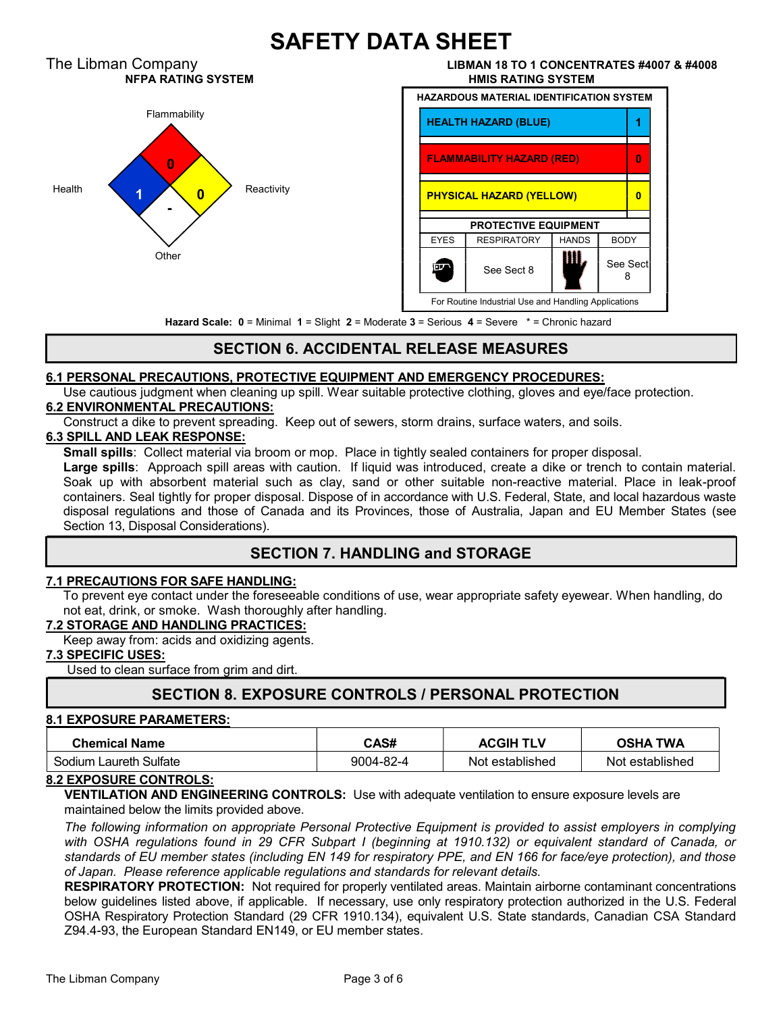

# SECTION 6. ACCIDENTAL RELEASE MEASURES

### 6.1 PERSONAL PRECAUTIONS, PROTECTIVE EQUIPMENT AND EMERGENCY PROCEDURES:

Use cautious judgment when cleaning up spill. Wear suitable protective clothing, gloves and eye/face protection. 6.2 ENVIRONMENTAL PRECAUTIONS:

Construct a dike to prevent spreading. Keep out of sewers, storm drains, surface waters, and soils.

#### 6.3 SPILL AND LEAK RESPONSE:

**Small spills**: Collect material via broom or mop. Place in tightly sealed containers for proper disposal.

Large spills: Approach spill areas with caution. If liquid was introduced, create a dike or trench to contain material. Soak up with absorbent material such as clay, sand or other suitable non-reactive material. Place in leak-proof containers. Seal tightly for proper disposal. Dispose of in accordance with U.S. Federal, State, and local hazardous waste disposal regulations and those of Canada and its Provinces, those of Australia, Japan and EU Member States (see Section 13, Disposal Considerations).

# SECTION 7. HANDLING and STORAGE

#### 7.1 PRECAUTIONS FOR SAFE HANDLING:

To prevent eye contact under the foreseeable conditions of use, wear appropriate safety eyewear. When handling, do not eat, drink, or smoke. Wash thoroughly after handling.

#### 7.2 STORAGE AND HANDLING PRACTICES:

Keep away from: acids and oxidizing agents.

#### 7.3 SPECIFIC USES:

Used to clean surface from grim and dirt.

# SECTION 8. EXPOSURE CONTROLS / PERSONAL PROTECTION

#### 8.1 EXPOSURE PARAMETERS:

| <b>Chemical Name</b>   | CAS#      | <b>ACGIH</b><br><b>TLV</b> | <b>TWA</b><br>OSHA |
|------------------------|-----------|----------------------------|--------------------|
| Sodium Laureth Sulfate | 9004-82-4 | Not established            | Not established    |

#### 8.2 EXPOSURE CONTROLS:

VENTILATION AND ENGINEERING CONTROLS: Use with adequate ventilation to ensure exposure levels are maintained below the limits provided above.

The following information on appropriate Personal Protective Equipment is provided to assist employers in complying with OSHA regulations found in 29 CFR Subpart I (beginning at 1910.132) or equivalent standard of Canada, or standards of EU member states (including EN 149 for respiratory PPE, and EN 166 for face/eye protection), and those of Japan. Please reference applicable regulations and standards for relevant details.

RESPIRATORY PROTECTION: Not required for properly ventilated areas. Maintain airborne contaminant concentrations below guidelines listed above, if applicable. If necessary, use only respiratory protection authorized in the U.S. Federal OSHA Respiratory Protection Standard (29 CFR 1910.134), equivalent U.S. State standards, Canadian CSA Standard Z94.4-93, the European Standard EN149, or EU member states.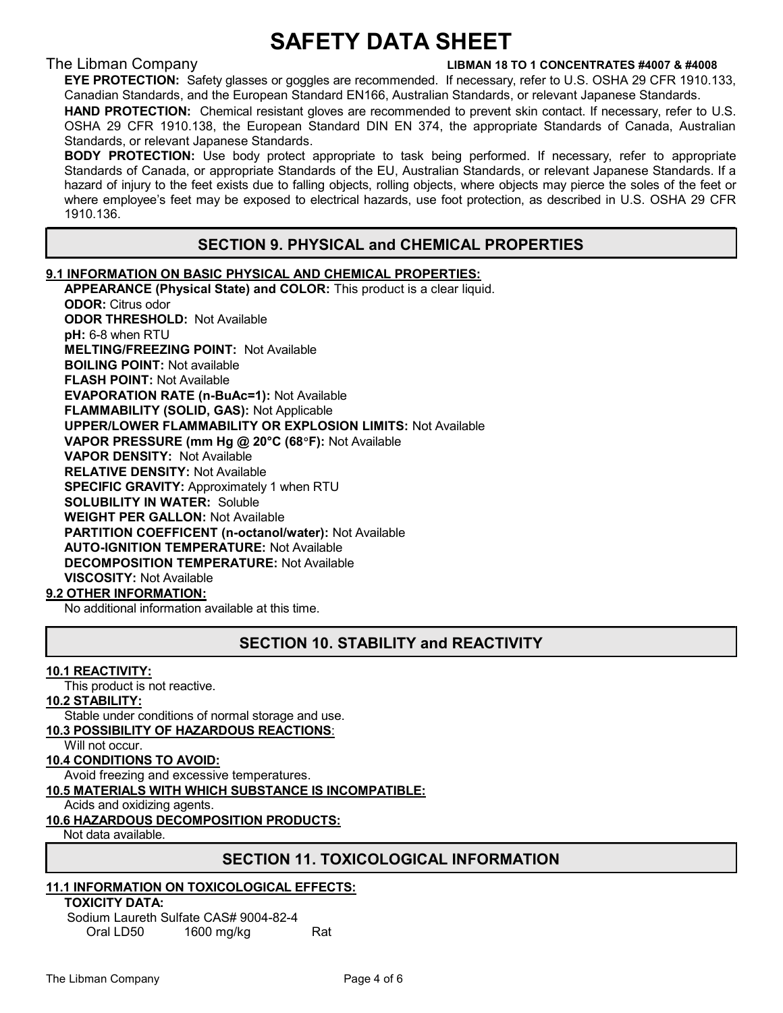#### The Libman Company LIBMAN 18 TO 1 CONCENTRATES #4007 & #4008

EYE PROTECTION: Safety glasses or goggles are recommended. If necessary, refer to U.S. OSHA 29 CFR 1910.133, Canadian Standards, and the European Standard EN166, Australian Standards, or relevant Japanese Standards.

HAND PROTECTION: Chemical resistant gloves are recommended to prevent skin contact. If necessary, refer to U.S. OSHA 29 CFR 1910.138, the European Standard DIN EN 374, the appropriate Standards of Canada, Australian Standards, or relevant Japanese Standards.

**BODY PROTECTION:** Use body protect appropriate to task being performed. If necessary, refer to appropriate Standards of Canada, or appropriate Standards of the EU, Australian Standards, or relevant Japanese Standards. If a hazard of injury to the feet exists due to falling objects, rolling objects, where objects may pierce the soles of the feet or where employee's feet may be exposed to electrical hazards, use foot protection, as described in U.S. OSHA 29 CFR 1910.136.

# SECTION 9. PHYSICAL and CHEMICAL PROPERTIES

#### 9.1 INFORMATION ON BASIC PHYSICAL AND CHEMICAL PROPERTIES:

 APPEARANCE (Physical State) and COLOR: This product is a clear liquid. ODOR: Citrus odor ODOR THRESHOLD: Not Available pH: 6-8 when RTU MELTING/FREEZING POINT: Not Available BOILING POINT: Not available FLASH POINT: Not Available EVAPORATION RATE (n-BuAc=1): Not Available FLAMMABILITY (SOLID, GAS): Not Applicable UPPER/LOWER FLAMMABILITY OR EXPLOSION LIMITS: Not Available VAPOR PRESSURE (mm Hg @ 20°C (68°F): Not Available VAPOR DENSITY: Not Available RELATIVE DENSITY: Not Available SPECIFIC GRAVITY: Approximately 1 when RTU SOLUBILITY IN WATER: Soluble WEIGHT PER GALLON: Not Available PARTITION COEFFICENT (n-octanol/water): Not Available AUTO-IGNITION TEMPERATURE: Not Available DECOMPOSITION TEMPERATURE: Not Available VISCOSITY: Not Available

### 9.2 OTHER INFORMATION:

No additional information available at this time.

# SECTION 10. STABILITY and REACTIVITY

#### 10.1 REACTIVITY:

This product is not reactive.

#### 10.2 STABILITY:

Stable under conditions of normal storage and use.

### 10.3 POSSIBILITY OF HAZARDOUS REACTIONS:

Will not occur.

#### 10.4 CONDITIONS TO AVOID:

Avoid freezing and excessive temperatures.

#### 10.5 MATERIALS WITH WHICH SUBSTANCE IS INCOMPATIBLE:

Acids and oxidizing agents.

#### 10.6 HAZARDOUS DECOMPOSITION PRODUCTS:

Not data available.

### SECTION 11. TOXICOLOGICAL INFORMATION

### 11.1 INFORMATION ON TOXICOLOGICAL EFFECTS:

 TOXICITY DATA: Sodium Laureth Sulfate CAS# 9004-82-4 Oral LD50 1600 mg/kg Rat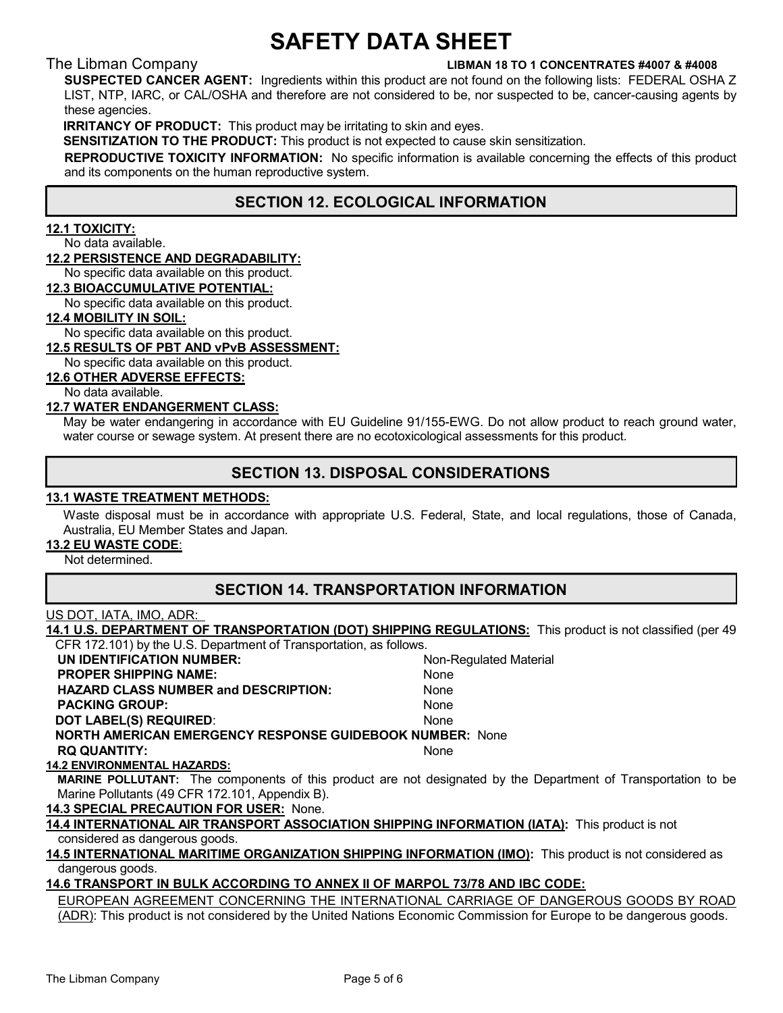#### The Libman Company LIBMAN 18 TO 1 CONCENTRATES #4007 & #4008

SUSPECTED CANCER AGENT: Ingredients within this product are not found on the following lists: FEDERAL OSHA Z LIST, NTP, IARC, or CAL/OSHA and therefore are not considered to be, nor suspected to be, cancer-causing agents by these agencies.

IRRITANCY OF PRODUCT: This product may be irritating to skin and eyes.

SENSITIZATION TO THE PRODUCT: This product is not expected to cause skin sensitization.

REPRODUCTIVE TOXICITY INFORMATION: No specific information is available concerning the effects of this product and its components on the human reproductive system.

# SECTION 12. ECOLOGICAL INFORMATION

#### 12.1 TOXICITY:

No data available.

#### 12.2 PERSISTENCE AND DEGRADABILITY:

No specific data available on this product.

#### 12.3 BIOACCUMULATIVE POTENTIAL:

No specific data available on this product.

#### 12.4 MOBILITY IN SOIL:

No specific data available on this product.

#### 12.5 RESULTS OF PBT AND vPvB ASSESSMENT:

No specific data available on this product.

12.6 OTHER ADVERSE EFFECTS:

No data available.

#### 12.7 WATER ENDANGERMENT CLASS:

May be water endangering in accordance with EU Guideline 91/155-EWG. Do not allow product to reach ground water, water course or sewage system. At present there are no ecotoxicological assessments for this product.

# SECTION 13. DISPOSAL CONSIDERATIONS

#### 13.1 WASTE TREATMENT METHODS:

Waste disposal must be in accordance with appropriate U.S. Federal, State, and local regulations, those of Canada, Australia, EU Member States and Japan.

#### 13.2 EU WASTE CODE:

Not determined.

# SECTION 14. TRANSPORTATION INFORMATION

#### US DOT, IATA, IMO, ADR:

14.1 U.S. DEPARTMENT OF TRANSPORTATION (DOT) SHIPPING REGULATIONS: This product is not classified (per 49 CFR 172.101) by the U.S. Department of Transportation, as follows.

| UN IDENTIFICATION NUMBER:                                       | Non-Regulated Material |  |  |  |  |
|-----------------------------------------------------------------|------------------------|--|--|--|--|
| <b>PROPER SHIPPING NAME:</b>                                    | None                   |  |  |  |  |
| <b>HAZARD CLASS NUMBER and DESCRIPTION:</b>                     | None                   |  |  |  |  |
| <b>PACKING GROUP:</b>                                           | None                   |  |  |  |  |
| <b>DOT LABEL(S) REQUIRED:</b>                                   | None                   |  |  |  |  |
| <b>NORTH AMERICAN EMERGENCY RESPONSE GUIDEBOOK NUMBER: None</b> |                        |  |  |  |  |
| <b>RO QUANTITY:</b>                                             | None                   |  |  |  |  |

#### 14.2 ENVIRONMENTAL HAZARDS:

MARINE POLLUTANT: The components of this product are not designated by the Department of Transportation to be Marine Pollutants (49 CFR 172.101, Appendix B).

#### 14.3 SPECIAL PRECAUTION FOR USER: None.

14.4 INTERNATIONAL AIR TRANSPORT ASSOCIATION SHIPPING INFORMATION (IATA): This product is not considered as dangerous goods.

14.5 INTERNATIONAL MARITIME ORGANIZATION SHIPPING INFORMATION (IMO): This product is not considered as dangerous goods.

#### 14.6 TRANSPORT IN BULK ACCORDING TO ANNEX II OF MARPOL 73/78 AND IBC CODE:

 EUROPEAN AGREEMENT CONCERNING THE INTERNATIONAL CARRIAGE OF DANGEROUS GOODS BY ROAD (ADR): This product is not considered by the United Nations Economic Commission for Europe to be dangerous goods.